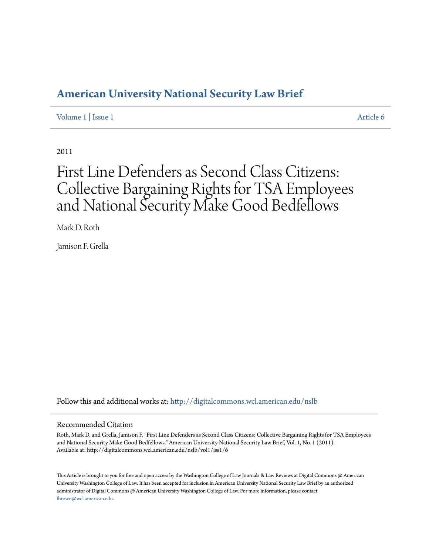## **[American University National Security Law Brief](http://digitalcommons.wcl.american.edu/nslb?utm_source=digitalcommons.wcl.american.edu%2Fnslb%2Fvol1%2Fiss1%2F6&utm_medium=PDF&utm_campaign=PDFCoverPages)**

[Volume 1](http://digitalcommons.wcl.american.edu/nslb/vol1?utm_source=digitalcommons.wcl.american.edu%2Fnslb%2Fvol1%2Fiss1%2F6&utm_medium=PDF&utm_campaign=PDFCoverPages) | [Issue 1](http://digitalcommons.wcl.american.edu/nslb/vol1/iss1?utm_source=digitalcommons.wcl.american.edu%2Fnslb%2Fvol1%2Fiss1%2F6&utm_medium=PDF&utm_campaign=PDFCoverPages) [Article 6](http://digitalcommons.wcl.american.edu/nslb/vol1/iss1/6?utm_source=digitalcommons.wcl.american.edu%2Fnslb%2Fvol1%2Fiss1%2F6&utm_medium=PDF&utm_campaign=PDFCoverPages)

2011

# First Line Defenders as Second Class Citizens: Collective Bargaining Rights for TSA Employees and National Security Make Good Bedfellows

Mark D. Roth

Jamison F. Grella

Follow this and additional works at: [http://digitalcommons.wcl.american.edu/nslb](http://digitalcommons.wcl.american.edu/nslb?utm_source=digitalcommons.wcl.american.edu%2Fnslb%2Fvol1%2Fiss1%2F6&utm_medium=PDF&utm_campaign=PDFCoverPages)

#### Recommended Citation

Roth, Mark D. and Grella, Jamison F. "First Line Defenders as Second Class Citizens: Collective Bargaining Rights for TSA Employees and National Security Make Good Bedfellows," American University National Security Law Brief, Vol. 1, No. 1 (2011). Available at: http://digitalcommons.wcl.american.edu/nslb/vol1/iss1/6

This Article is brought to you for free and open access by the Washington College of Law Journals & Law Reviews at Digital Commons @ American University Washington College of Law. It has been accepted for inclusion in American University National Security Law Brief by an authorized administrator of Digital Commons @ American University Washington College of Law. For more information, please contact [fbrown@wcl.american.edu](mailto:fbrown@wcl.american.edu).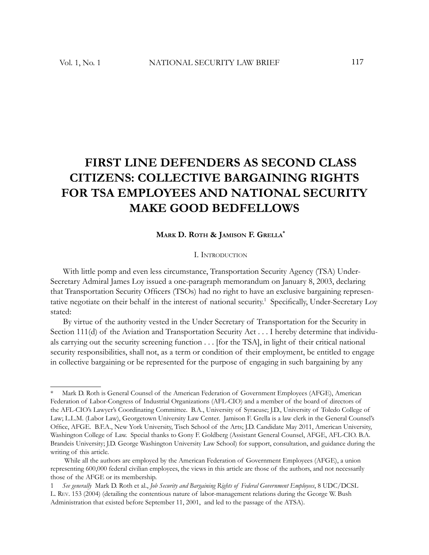# **FIRST LINE DEFENDERS AS SECOND CLASS CITIZENS: COLLECTIVE BARGAINING RIGHTS FOR TSA EMPLOYEES AND NATIONAL SECURITY MAKE GOOD BEDFELLOWS**

### **MARK D. ROTH & JAMISON F. GRELLA\***

#### I. INTRODUCTION

With little pomp and even less circumstance, Transportation Security Agency (TSA) Under-Secretary Admiral James Loy issued a one-paragraph memorandum on January 8, 2003, declaring that Transportation Security Officers (TSOs) had no right to have an exclusive bargaining representative negotiate on their behalf in the interest of national security.<sup>1</sup> Specifically, Under-Secretary Loy stated:

By virtue of the authority vested in the Under Secretary of Transportation for the Security in Section 111(d) of the Aviation and Transportation Security Act . . . I hereby determine that individuals carrying out the security screening function . . . [for the TSA], in light of their critical national security responsibilities, shall not, as a term or condition of their employment, be entitled to engage in collective bargaining or be represented for the purpose of engaging in such bargaining by any

Mark D. Roth is General Counsel of the American Federation of Government Employees (AFGE), American Federation of Labor-Congress of Industrial Organizations (AFL-CIO) and a member of the board of directors of the AFL-CIO's Lawyer's Coordinating Committee. B.A., University of Syracuse; J.D., University of Toledo College of Law; L.L.M. (Labor Law), Georgetown University Law Center. Jamison F. Grella is a law clerk in the General Counsel's Office, AFGE. B.F.A., New York University, Tisch School of the Arts; J.D. Candidate May 2011, American University, Washington College of Law. Special thanks to Gony F. Goldberg (Assistant General Counsel, AFGE, AFL-CIO. B.A. Brandeis University; J.D. George Washington University Law School) for support, consultation, and guidance during the writing of this article.

While all the authors are employed by the American Federation of Government Employees (AFGE), a union representing 600,000 federal civilian employees, the views in this article are those of the authors, and not necessarily those of the AFGE or its membership.

<sup>1</sup> *See generally* Mark D. Roth et al., *Job Security and Bargaining Rights of Federal Government Employees*, 8 UDC/DCSL L. REV. 153 (2004) (detailing the contentious nature of labor-management relations during the George W. Bush Administration that existed before September 11, 2001, and led to the passage of the ATSA).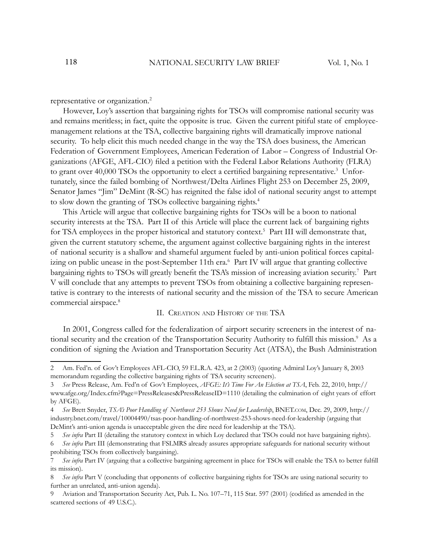representative or organization.<sup>2</sup>

However, Loy's assertion that bargaining rights for TSOs will compromise national security was and remains meritless; in fact, quite the opposite is true. Given the current pitiful state of employeemanagement relations at the TSA, collective bargaining rights will dramatically improve national security. To help elicit this much needed change in the way the TSA does business, the American Federation of Government Employees, American Federation of Labor – Congress of Industrial Organizations (AFGE, AFL-CIO) filed a petition with the Federal Labor Relations Authority (FLRA) to grant over 40,000 TSOs the opportunity to elect a certified bargaining representative.<sup>3</sup> Unfortunately, since the failed bombing of Northwest/Delta Airlines Flight 253 on December 25, 2009, Senator James "Jim" DeMint (R-SC) has reignited the false idol of national security angst to attempt to slow down the granting of TSOs collective bargaining rights.<sup>4</sup>

This Article will argue that collective bargaining rights for TSOs will be a boon to national security interests at the TSA. Part II of this Article will place the current lack of bargaining rights for TSA employees in the proper historical and statutory context.<sup>5</sup> Part III will demonstrate that, given the current statutory scheme, the argument against collective bargaining rights in the interest of national security is a shallow and shameful argument fueled by anti-union political forces capitalizing on public unease in the post-September 11th era.<sup>6</sup> Part IV will argue that granting collective bargaining rights to TSOs will greatly benefit the TSA's mission of increasing aviation security.<sup>7</sup> Part V will conclude that any attempts to prevent TSOs from obtaining a collective bargaining representative is contrary to the interests of national security and the mission of the TSA to secure American commercial airspace.<sup>8</sup>

#### II. CREATION AND HISTORY OF THE TSA

In 2001, Congress called for the federalization of airport security screeners in the interest of national security and the creation of the Transportation Security Authority to fulfill this mission.<sup>9</sup> As a condition of signing the Aviation and Transportation Security Act (ATSA), the Bush Administration

<sup>2</sup> Am. Fed'n. of Gov't Employees AFL-CIO, 59 F.L.R.A. 423, at 2 (2003) (quoting Admiral Loy's January 8, 2003 memorandum regarding the collective bargaining rights of TSA security screeners).

<sup>3</sup> *See* Press Release, Am. Fed'n of Gov't Employees, *AFGE: It's Time For An Election at TSA*, Feb. 22, 2010, http:// www.afge.org/Index.cfm?Page=PressReleases&PressReleaseID=1110 (detailing the culmination of eight years of effort by AFGE).

<sup>4</sup> *See* Brett Snyder, *TSA's Poor Handling of Northwest 253 Shows Need for Leadership*, BNET.COM, Dec. 29, 2009, http:// industry.bnet.com/travel/10004490/tsas-poor-handling-of-northwest-253-shows-need-for-leadership (arguing that DeMint's anti-union agenda is unacceptable given the dire need for leadership at the TSA).

<sup>5</sup> *See infra* Part II (detailing the statutory context in which Loy declared that TSOs could not have bargaining rights).

<sup>6</sup> *See infra* Part III (demonstrating that FSLMRS already assures appropriate safeguards for national security without prohibiting TSOs from collectively bargaining).

<sup>7</sup> See infra Part IV (arguing that a collective bargaining agreement in place for TSOs will enable the TSA to better fulfill its mission).

<sup>8</sup> See infra Part V (concluding that opponents of collective bargaining rights for TSOs are using national security to further an unrelated, anti-union agenda).

Aviation and Transportation Security Act, Pub. L. No. 107–71, 115 Stat. 597 (2001) (codified as amended in the scattered sections of 49 U.S.C.).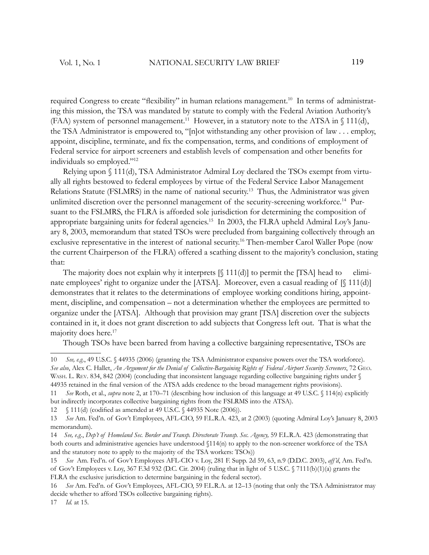required Congress to create "flexibility" in human relations management.<sup>10</sup> In terms of administrating this mission, the TSA was mandated by statute to comply with the Federal Aviation Authority's (FAA) system of personnel management.<sup>11</sup> However, in a statutory note to the ATSA in  $\{\$ {11}{\text{(d)}}, the TSA Administrator is empowered to, "[n]ot withstanding any other provision of law . . . employ, appoint, discipline, terminate, and fix the compensation, terms, and conditions of employment of Federal service for airport screeners and establish levels of compensation and other benefits for individuals so employed."<sup>12</sup>

Relying upon § 111(d), TSA Administrator Admiral Loy declared the TSOs exempt from virtually all rights bestowed to federal employees by virtue of the Federal Service Labor Management Relations Statute (FSLMRS) in the name of national security.<sup>13</sup> Thus, the Administrator was given unlimited discretion over the personnel management of the security-screening workforce.<sup>14</sup> Pursuant to the FSLMRS, the FLRA is afforded sole jurisdiction for determining the composition of appropriate bargaining units for federal agencies.15 In 2003, the FLRA upheld Admiral Loy's January 8, 2003, memorandum that stated TSOs were precluded from bargaining collectively through an exclusive representative in the interest of national security.<sup>16</sup> Then-member Carol Waller Pope (now the current Chairperson of the FLRA) offered a scathing dissent to the majority's conclusion, stating that:

The majority does not explain why it interprets  $[\S 111(d)]$  to permit the [TSA] head to eliminate employees' right to organize under the [ATSA]. Moreover, even a casual reading of [§ 111(d)] demonstrates that it relates to the determinations of employee working conditions hiring, appointment, discipline, and compensation – not a determination whether the employees are permitted to organize under the [ATSA]. Although that provision may grant [TSA] discretion over the subjects contained in it, it does not grant discretion to add subjects that Congress left out. That is what the majority does here.<sup>17</sup>

Though TSOs have been barred from having a collective bargaining representative, TSOs are

11 *See* Roth, et al., *supra* note 2, at 170–71 (describing how inclusion of this language at 49 U.S.C. § 114(n) explicitly but indirectly incorporates collective bargaining rights from the FSLRMS into the ATSA).

12 § 111(d) (codified as amended at 49 U.S.C. § 44935 Note (2006)).

<sup>10</sup> *See, e.g.*, 49 U.S.C. § 44935 (2006) (granting the TSA Administrator expansive powers over the TSA workforce). *See also*, Alex C. Hallet, *An Argument for the Denial of Collective-Bargaining Rights of Federal Airport Security Screeners*, 72 GEO. WASH. L. REV. 834, 842 (2004) (concluding that inconsistent language regarding collective bargaining rights under § 44935 retained in the final version of the ATSA adds credence to the broad management rights provisions).

<sup>13</sup> *See* Am. Fed'n. of Gov't Employees, AFL-CIO, 59 F.L.R.A. 423, at 2 (2003) (quoting Admiral Loy's January 8, 2003 memorandum).

<sup>14</sup> *See, e.g.*, *Dep't of Homeland Sec. Border and Transp. Directorate Transp. Sec. Agency,* 59 F.L.R.A. 423 (demonstrating that both courts and administrative agencies have understood §114(n) to apply to the non-screener workforce of the TSA and the statutory note to apply to the majority of the TSA workers: TSOs))

<sup>15</sup> *See* Am. Fed'n. of Gov't Employees AFL-CIO v. Loy, 281 F. Supp. 2d 59, 63, n.9 (D.D.C. 2003), *aff'd*, Am. Fed'n. of Gov't Employees v. Loy, 367 F.3d 932 (D.C. Cir. 2004) (ruling that in light of 5 U.S.C. § 7111(b)(1)(a) grants the FLRA the exclusive jurisdiction to determine bargaining in the federal sector).

<sup>16</sup> See Am. Fed'n. of Gov't Employees, AFL-CIO, 59 F.L.R.A. at 12–13 (noting that only the TSA Administrator may decide whether to afford TSOs collective bargaining rights).

<sup>17</sup> *Id.* at 15.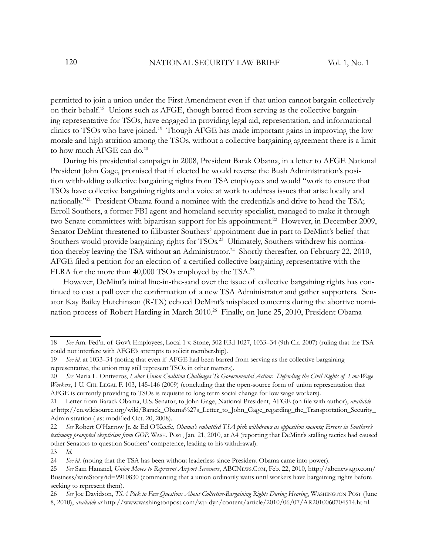permitted to join a union under the First Amendment even if that union cannot bargain collectively on their behalf.18 Unions such as AFGE, though barred from serving as the collective bargaining representative for TSOs, have engaged in providing legal aid, representation, and informational clinics to TSOs who have joined.<sup>19</sup> Though AFGE has made important gains in improving the low morale and high attrition among the TSOs, without a collective bargaining agreement there is a limit to how much AFGE can do.<sup>20</sup>

During his presidential campaign in 2008, President Barak Obama, in a letter to AFGE National President John Gage, promised that if elected he would reverse the Bush Administration's position withholding collective bargaining rights from TSA employees and would "work to ensure that TSOs have collective bargaining rights and a voice at work to address issues that arise locally and nationally.<sup>"21</sup> President Obama found a nominee with the credentials and drive to head the TSA; Erroll Southers, a former FBI agent and homeland security specialist, managed to make it through two Senate committees with bipartisan support for his appointment.<sup>22</sup> However, in December 2009, Senator DeMint threatened to filibuster Southers' appointment due in part to DeMint's belief that Southers would provide bargaining rights for TSOs.<sup>23</sup> Ultimately, Southers withdrew his nomination thereby leaving the TSA without an Administrator.<sup>24</sup> Shortly thereafter, on February 22, 2010, AFGE filed a petition for an election of a certified collective bargaining representative with the FLRA for the more than 40,000 TSOs employed by the TSA.<sup>25</sup>

However, DeMint's initial line-in-the-sand over the issue of collective bargaining rights has continued to cast a pall over the confirmation of a new TSA Administrator and gather supporters. Senator Kay Bailey Hutchinson (R-TX) echoed DeMint's misplaced concerns during the abortive nomination process of Robert Harding in March 2010.<sup>26</sup> Finally, on June 25, 2010, President Obama

<sup>18</sup> *See* Am. Fed'n. of Gov't Employees, Local 1 v. Stone, 502 F.3d 1027, 1033–34 (9th Cir. 2007) (ruling that the TSA could not interfere with AFGE's attempts to solicit membership).

<sup>19</sup> *See id.* at 1033–34 (noting that even if AFGE had been barred from serving as the collective bargaining representative, the union may still represent TSOs in other matters).

<sup>20</sup> *See* Maria L. Ontiveros, *Labor Union Coalition Challenges To Governmental Action: Defending the Civil Rights of Low-Wage Workers*, 1 U. CHI. LEGAL F. 103, 145-146 (2009) (concluding that the open-source form of union representation that AFGE is currently providing to TSOs is requisite to long term social change for low wage workers).

<sup>21</sup> Letter from Barack Obama, U.S. Senator, to John Gage, National President, AFGE (on file with author), *available at* http://en.wikisource.org/wiki/Barack\_Obama%27s\_Letter\_to\_John\_Gage\_regarding\_the\_Transportation\_Security\_ Administration (last modified Oct. 20, 2008).

<sup>22</sup> *See* Robert O'Harrow Jr. & Ed O'Keefe, *Obama's embattled TSA pick withdraws as opposition mounts; Errors in Southers's testimony prompted skepticism from GOP,* WASH. POST, Jan. 21, 2010, at A4 (reporting that DeMint's stalling tactics had caused other Senators to question Southers' competence, leading to his withdrawal).

<sup>23</sup> *Id.*

<sup>24</sup> *See id.* (noting that the TSA has been without leaderless since President Obama came into power).

<sup>25</sup> *See* Sam Hananel, *Union Moves to Represent Airport Screeners*, ABCNEWS.COM, Feb. 22, 2010, http://abcnews.go.com/ Business/wireStory?id=9910830 (commenting that a union ordinarily waits until workers have bargaining rights before seeking to represent them).

<sup>26</sup> *See* Joe Davidson, *TSA Pick to Face Questions About Collective-Bargaining Rights During Hearing*, WASHINGTON POST (June 8, 2010), *available at* http://www.washingtonpost.com/wp-dyn/content/article/2010/06/07/AR2010060704514.html.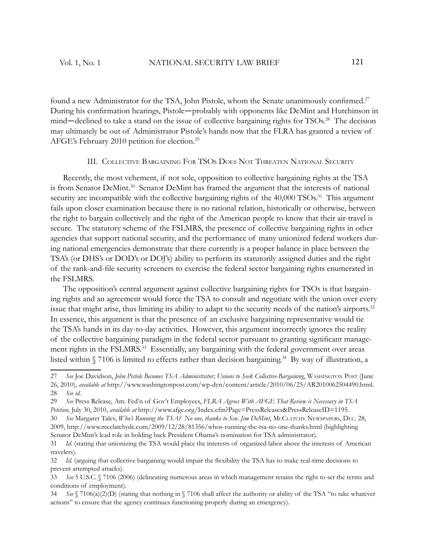found a new Administrator for the TSA, John Pistole, whom the Senate unanimously confirmed.<sup>27</sup> During his confirmation hearings, Pistole—probably with opponents like DeMint and Hutchinson in mind—declined to take a stand on the issue of collective bargaining rights for TSOs.<sup>28</sup> The decision may ultimately be out of Administrator Pistole's hands now that the FLRA has granted a review of AFGE's February 2010 petition for election.<sup>29</sup>

#### III. COLLECTIVE BARGAINING FOR TSOS DOES NOT THREATEN NATIONAL SECURITY

Recently, the most vehement, if not sole, opposition to collective bargaining rights at the TSA is from Senator DeMint.<sup>30</sup> Senator DeMint has framed the argument that the interests of national security are incompatible with the collective bargaining rights of the 40,000 TSOs.<sup>31</sup> This argument fails upon closer examination because there is no rational relation, historically or otherwise, between the right to bargain collectively and the right of the American people to know that their air-travel is secure. The statutory scheme of the FSLMRS, the presence of collective bargaining rights in other agencies that support national security, and the performance of many unionized federal workers during national emergencies demonstrate that there currently is a proper balance in place between the TSA's (or DHS's or DOD's or DOJ's) ability to perform its statutorily assigned duties and the right of the rank-and-file security screeners to exercise the federal sector bargaining rights enumerated in the FSLMRS.

The opposition's central argument against collective bargaining rights for TSOs is that bargaining rights and an agreement would force the TSA to consult and negotiate with the union over every issue that might arise, thus limiting its ability to adapt to the security needs of the nation's airports.<sup>32</sup> In essence, this argument is that the presence of an exclusive bargaining representative would tie the TSA's hands in its day-to-day activities. However, this argument incorrectly ignores the reality of the collective bargaining paradigm in the federal sector pursuant to granting significant management rights in the FSLMRS.<sup>33</sup> Essentially, any bargaining with the federal government over areas listed within § 7106 is limited to effects rather than decision bargaining.<sup>34</sup> By way of illustration, a

<sup>27</sup> *See* Joe Davidson, *John Pistole Becomes TSA Administrator; Unions to Seek Collective-Bargaining*, WASHINGTON POST (June 26, 2010), *available at* http://www.washingtonpost.com/wp-dyn/content/article/2010/06/25/AR2010062504490.html. 28 *See id*.

<sup>29</sup> *See* Press Release, Am. Fed'n of Gov't Employees, *FLRA Agrees With AFGE That Review is Necessary in TSA Petition,* July 30, 2010, *available at* http://www.afge.org/Index.cfm?Page=PressReleases&PressReleaseID=1195.

<sup>30</sup> *See* Margaret Talev, *Who's Running the TSA? No one, thanks to Sen. Jim DeMint*, MCCLATCHY NEWSPAPERS, DEC. 28, 2009, http://www.mcclatchydc.com/2009/12/28/81356/whos-running-the-tsa-no-one-thanks.html (highlighting Senator DeMint's lead role in holding back President Obama's nomination for TSA administrator).

<sup>31</sup> *Id*. (stating that unionizing the TSA would place the interests of organized labor above the interests of American travelers).

<sup>32</sup> *Id.* (arguing that collective bargaining would impair the flexibility the TSA has to make real-time decisions to prevent attempted attacks).

<sup>33</sup> *See* 5 U.S.C. § 7106 (2006) (delineating numerous areas in which management retains the right to set the terms and conditions of employment).

<sup>34</sup> *See* § 7106(a)(2)(D) (stating that nothing in § 7106 shall affect the authority or ability of the TSA "to take whatever actions" to ensure that the agency continues functioning properly during an emergency).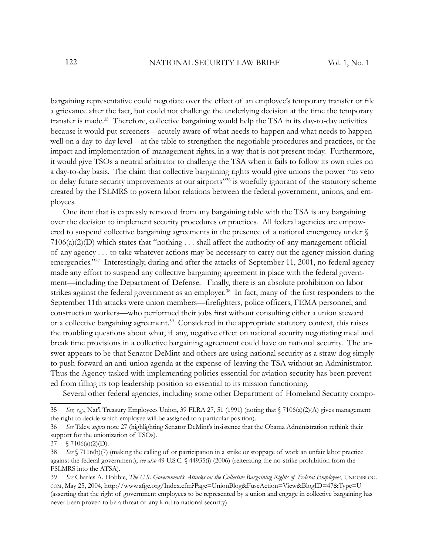bargaining representative could negotiate over the effect of an employee's temporary transfer or file a grievance after the fact, but could not challenge the underlying decision at the time the temporary transfer is made.<sup>35</sup> Therefore, collective bargaining would help the TSA in its day-to-day activities because it would put screeners—acutely aware of what needs to happen and what needs to happen well on a day-to-day level—at the table to strengthen the negotiable procedures and practices, or the impact and implementation of management rights, in a way that is not present today. Furthermore, it would give TSOs a neutral arbitrator to challenge the TSA when it fails to follow its own rules on a day-to-day basis. The claim that collective bargaining rights would give unions the power "to veto or delay future security improvements at our airports<sup>"36</sup> is woefully ignorant of the statutory scheme created by the FSLMRS to govern labor relations between the federal government, unions, and employees.

One item that is expressly removed from any bargaining table with the TSA is any bargaining over the decision to implement security procedures or practices. All federal agencies are empowered to suspend collective bargaining agreements in the presence of a national emergency under §  $7106(a)(2)(D)$  which states that "nothing . . . shall affect the authority of any management official of any agency . . . to take whatever actions may be necessary to carry out the agency mission during emergencies."<sup>37</sup> Interestingly, during and after the attacks of September 11, 2001, no federal agency made any effort to suspend any collective bargaining agreement in place with the federal government—including the Department of Defense. Finally, there is an absolute prohibition on labor strikes against the federal government as an employer.<sup>38</sup> In fact, many of the first responders to the September 11th attacks were union members—firefighters, police officers, FEMA personnel, and construction workers—who performed their jobs first without consulting either a union steward or a collective bargaining agreement.<sup>39</sup> Considered in the appropriate statutory context, this raises the troubling questions about what, if any, negative effect on national security negotiating meal and break time provisions in a collective bargaining agreement could have on national security. The answer appears to be that Senator DeMint and others are using national security as a straw dog simply to push forward an anti-union agenda at the expense of leaving the TSA without an Administrator. Thus the Agency tasked with implementing policies essential for aviation security has been prevented from filling its top leadership position so essential to its mission functioning.

Several other federal agencies, including some other Department of Homeland Security compo-

<sup>35</sup> *See, e.g.*, Nat'l Treasury Employees Union, 39 FLRA 27, 51 (1991) (noting that § 7106(a)(2)(A) gives management the right to decide which employee will be assigned to a particular position).

<sup>36</sup> *See* Talev, *supra* note 27 (highlighting Senator DeMint's insistence that the Obama Administration rethink their support for the unionization of TSOs).

<sup>37</sup>  $\sqrt{7106(a)(2)(D)}$ .

<sup>38</sup> *See* § 7116(b)(7) (making the calling of or participation in a strike or stoppage of work an unfair labor practice against the federal government); *see also* 49 U.S.C. § 44935(i) (2006) (reiterating the no-strike prohibition from the FSLMRS into the ATSA).

<sup>39</sup> *See* Charles A. Hobbie, *The U.S. Government's Attacks on the Collective Bargaining Rights of Federal Employees*, UNIONBLOG. COM, May 25, 2004, http://www.afge.org/Index.cfm?Page=UnionBlog&FuseAction=View&BlogID=47&Type=U (asserting that the right of government employees to be represented by a union and engage in collective bargaining has never been proven to be a threat of any kind to national security).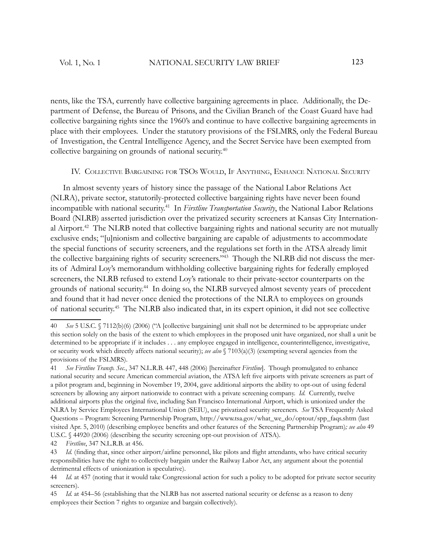nents, like the TSA, currently have collective bargaining agreements in place. Additionally, the Department of Defense, the Bureau of Prisons, and the Civilian Branch of the Coast Guard have had collective bargaining rights since the 1960's and continue to have collective bargaining agreements in place with their employees. Under the statutory provisions of the FSLMRS, only the Federal Bureau of Investigation, the Central Intelligence Agency, and the Secret Service have been exempted from collective bargaining on grounds of national security.<sup>40</sup>

#### IV. COLLECTIVE BARGAINING FOR TSOS WOULD, IF ANYTHING, ENHANCE NATIONAL SECURITY

In almost seventy years of history since the passage of the National Labor Relations Act (NLRA), private sector, statutorily-protected collective bargaining rights have never been found incompatible with national security.<sup>41</sup> In *Firstline Transportation Security*, the National Labor Relations Board (NLRB) asserted jurisdiction over the privatized security screeners at Kansas City International Airport.<sup>42</sup> The NLRB noted that collective bargaining rights and national security are not mutually exclusive ends; "[u]nionism and collective bargaining are capable of adjustments to accommodate the special functions of security screeners, and the regulations set forth in the ATSA already limit the collective bargaining rights of security screeners."43 Though the NLRB did not discuss the merits of Admiral Loy's memorandum withholding collective bargaining rights for federally employed screeners, the NLRB refused to extend Loy's rationale to their private-sector counterparts on the grounds of national security.<sup>44</sup> In doing so, the NLRB surveyed almost seventy years of precedent and found that it had never once denied the protections of the NLRA to employees on grounds of national security.<sup>45</sup> The NLRB also indicated that, in its expert opinion, it did not see collective

<sup>40</sup> *See* 5 U.S.C. § 7112(b)(6) (2006) ("A [collective bargaining] unit shall not be determined to be appropriate under this section solely on the basis of the extent to which employees in the proposed unit have organized, nor shall a unit be determined to be appropriate if it includes . . . any employee engaged in intelligence, counterintelligence, investigative, or security work which directly affects national security); *see also* § 7103(a)(3) (exempting several agencies from the provisions of the FSLMRS).

<sup>41</sup> *See Firstline Transp. Sec.*, 347 N.L.R.B. 447, 448 (2006) [hereinafter *Firstline*]. Though promulgated to enhance national security and secure American commercial aviation, the ATSA left five airports with private screeners as part of a pilot program and, beginning in November 19, 2004, gave additional airports the ability to opt-out of using federal screeners by allowing any airport nationwide to contract with a private screening company. *Id.* Currently, twelve additional airports plus the original five, including San Francisco International Airport, which is unionized under the NLRA by Service Employees International Union (SEIU), use privatized security screeners. *See* TSA Frequently Asked Questions – Program: Screening Partnership Program, http://www.tsa.gov/what\_we\_do/optout/spp\_faqs.shtm (last visited Apr. 5, 2010) (describing employee benefits and other features of the Screening Partnership Program); see also 49 U.S.C. § 44920 (2006) (describing the security screening opt-out provision of ATSA).

<sup>42</sup> *Firstline*, 347 N.L.R.B. at 456.

<sup>43</sup> *Id.* (finding that, since other airport/airline personnel, like pilots and flight attendants, who have critical security responsibilities have the right to collectively bargain under the Railway Labor Act, any argument about the potential detrimental effects of unionization is speculative).

<sup>44</sup> *Id.* at 457 (noting that it would take Congressional action for such a policy to be adopted for private sector security screeners).

<sup>45</sup> *Id.* at 454–56 (establishing that the NLRB has not asserted national security or defense as a reason to deny employees their Section 7 rights to organize and bargain collectively).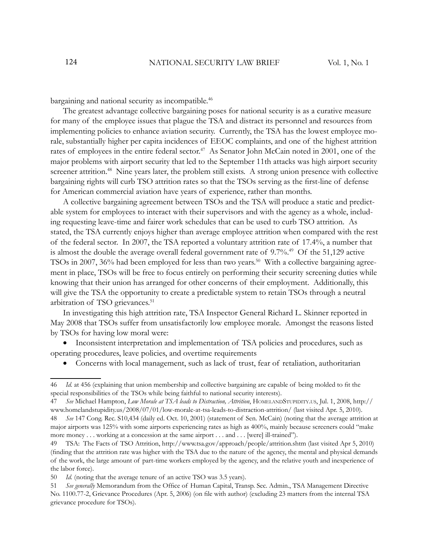bargaining and national security as incompatible.<sup>46</sup>

The greatest advantage collective bargaining poses for national security is as a curative measure for many of the employee issues that plague the TSA and distract its personnel and resources from implementing policies to enhance aviation security. Currently, the TSA has the lowest employee morale, substantially higher per capita incidences of EEOC complaints, and one of the highest attrition rates of employees in the entire federal sector.<sup>47</sup> As Senator John McCain noted in 2001, one of the major problems with airport security that led to the September 11th attacks was high airport security screener attrition.<sup>48</sup> Nine years later, the problem still exists. A strong union presence with collective bargaining rights will curb TSO attrition rates so that the TSOs serving as the first-line of defense for American commercial aviation have years of experience, rather than months.

A collective bargaining agreement between TSOs and the TSA will produce a static and predictable system for employees to interact with their supervisors and with the agency as a whole, including requesting leave-time and fairer work schedules that can be used to curb TSO attrition. As stated, the TSA currently enjoys higher than average employee attrition when compared with the rest of the federal sector. In 2007, the TSA reported a voluntary attrition rate of 17.4%, a number that is almost the double the average overall federal government rate of 9.7%.<sup>49</sup> Of the 51,129 active TSOs in 2007, 36% had been employed for less than two years.<sup>50</sup> With a collective bargaining agreement in place, TSOs will be free to focus entirely on performing their security screening duties while knowing that their union has arranged for other concerns of their employment. Additionally, this will give the TSA the opportunity to create a predictable system to retain TSOs through a neutral arbitration of TSO grievances.<sup>51</sup>

In investigating this high attrition rate, TSA Inspector General Richard L. Skinner reported in May 2008 that TSOs suffer from unsatisfactorily low employee morale. Amongst the reasons listed by TSOs for having low moral were:

• Inconsistent interpretation and implementation of TSA policies and procedures, such as operating procedures, leave policies, and overtime requirements

• Concerns with local management, such as lack of trust, fear of retaliation, authoritarian

<sup>46</sup> *Id.* at 456 (explaining that union membership and collective bargaining are capable of being molded to fi t the special responsibilities of the TSOs while being faithful to national security interests).

<sup>47</sup> *See* Michael Hampton, *Low Morale at TSA leads to Distraction, Attrition*, HOMELANDSTUPIDITY.US, Jul. 1, 2008, http:// www.homelandstupidity.us/2008/07/01/low-morale-at-tsa-leads-to-distraction-attrition/ (last visited Apr. 5, 2010). 48 *See* 147 Cong. Rec. S10,434 (daily ed. Oct. 10, 2001) (statement of Sen. McCain) (noting that the average attrition at

major airports was 125% with some airports experiencing rates as high as 400%, mainly because screeners could "make more money . . . working at a concession at the same airport . . . and . . . [were] ill-trained").

<sup>49</sup> TSA: The Facts of TSO Attrition, http://www.tsa.gov/approach/people/attrition.shtm (last visited Apr 5, 2010) (finding that the attrition rate was higher with the TSA due to the nature of the agency, the mental and physical demands of the work, the large amount of part-time workers employed by the agency, and the relative youth and inexperience of the labor force).

<sup>50</sup> *Id.* (noting that the average tenure of an active TSO was 3.5 years).

<sup>51</sup> See generally Memorandum from the Office of Human Capital, Transp. Sec. Admin., TSA Management Directive No. 1100.77-2, Grievance Procedures (Apr. 5, 2006) (on file with author) (excluding 23 matters from the internal TSA grievance procedure for TSOs).